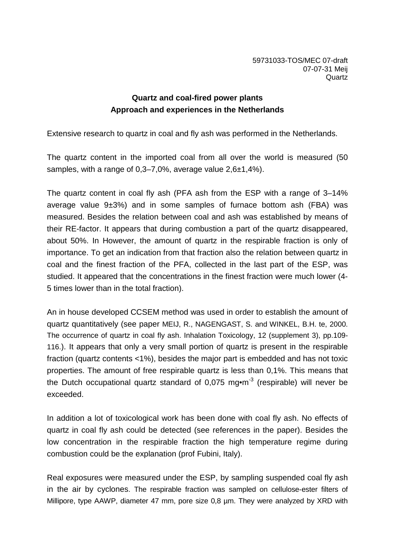59731033-TOS/MEC 07-draft 07-07-31 Meij **Quartz** 

## **Quartz and coal-fired power plants Approach and experiences in the Netherlands**

Extensive research to quartz in coal and fly ash was performed in the Netherlands.

The quartz content in the imported coal from all over the world is measured (50 samples, with a range of 0,3–7,0%, average value 2,6±1,4%).

The quartz content in coal fly ash (PFA ash from the ESP with a range of 3–14% average value  $9\pm3\%$ ) and in some samples of furnace bottom ash (FBA) was measured. Besides the relation between coal and ash was established by means of their RE-factor. It appears that during combustion a part of the quartz disappeared, about 50%. In However, the amount of quartz in the respirable fraction is only of importance. To get an indication from that fraction also the relation between quartz in coal and the finest fraction of the PFA, collected in the last part of the ESP, was studied. It appeared that the concentrations in the finest fraction were much lower (4- 5 times lower than in the total fraction).

An in house developed CCSEM method was used in order to establish the amount of quartz quantitatively (see paper MEIJ, R., NAGENGAST, S. and WINKEL, B.H. te, 2000. The occurrence of quartz in coal fly ash. Inhalation Toxicology, 12 (supplement 3), pp.109- 116.). It appears that only a very small portion of quartz is present in the respirable fraction (quartz contents <1%), besides the major part is embedded and has not toxic properties. The amount of free respirable quartz is less than 0,1%. This means that the Dutch occupational quartz standard of  $0.075$  mg $\cdot$ m<sup>-3</sup> (respirable) will never be exceeded.

In addition a lot of toxicological work has been done with coal fly ash. No effects of quartz in coal fly ash could be detected (see references in the paper). Besides the low concentration in the respirable fraction the high temperature regime during combustion could be the explanation (prof Fubini, Italy).

Real exposures were measured under the ESP, by sampling suspended coal fly ash in the air by cyclones. The respirable fraction was sampled on cellulose-ester filters of Millipore, type AAWP, diameter 47 mm, pore size 0,8  $\mu$ m. They were analyzed by XRD with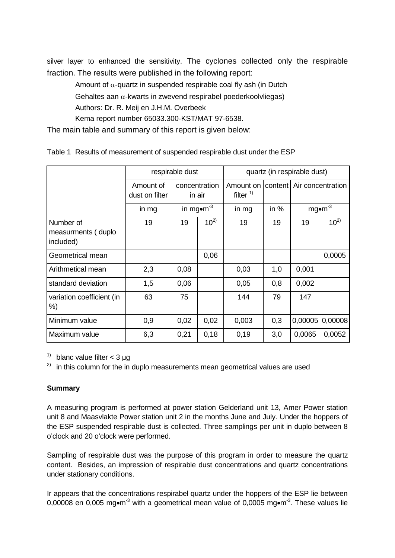silver layer to enhanced the sensitivity. The cyclones collected only the respirable fraction. The results were published in the following report:

Amount of  $\alpha$ -quartz in suspended respirable coal fly ash (in Dutch Gehaltes aan  $\alpha$ -kwarts in zwevend respirabel poederkoolvliegas) Authors: Dr. R. Meij en J.H.M. Overbeek Kema report number 65033.300-KST/MAT 97-6538. The main table and summary of this report is given below:

respirable dust  $\qquad \qquad$  quartz (in respirable dust) Amount of dust on filter concentration in air Amount on | content | Air concentration filter  $<sup>1</sup>$ </sup>  $\lim_{m \to \infty}$  in mg•m<sup>-3</sup> in mg in % mg•m<sup>-3</sup> Number of measurments ( duplo included) 19 | 19 | 10<sup>2)</sup> | 19 | 19 | 19 | 10<sup>2)</sup> Geometrical mean 0,06 0,0005 Arithmetical mean 2,3 0,08 0,03 1,0 0,001 standard deviation 1,5 0,06 0,05 0,8 0,002 variation coefficient (in %) 63 75 144 79 147 Minimum value | 0,9  $\vert$  0,02  $\vert$  0,02  $\vert$  0,003  $\vert$  0,3  $\vert$  0,00005 0,00008 Maximum value 6,3 0,21 0,18 0,19 3,0 0,0065 0,0052

Table 1 Results of measurement of suspended respirable dust under the ESP

<sup>1)</sup> blanc value filter  $<$  3 µg

 $2)$  in this column for the in duplo measurements mean geometrical values are used

## **Summary**

A measuring program is performed at power station Gelderland unit 13, Amer Power station unit 8 and Maasvlakte Power station unit 2 in the months June and July. Under the hoppers of the ESP suspended respirable dust is collected. Three samplings per unit in duplo between 8 o'clock and 20 o'clock were performed.

Sampling of respirable dust was the purpose of this program in order to measure the quartz content. Besides, an impression of respirable dust concentrations and quartz concentrations under stationary conditions.

Ir appears that the concentrations respirabel quartz under the hoppers of the ESP lie between 0,00008 en 0,005 mg•m<sup>-3</sup> with a geometrical mean value of 0,0005 mg•m<sup>-3</sup>. These values lie